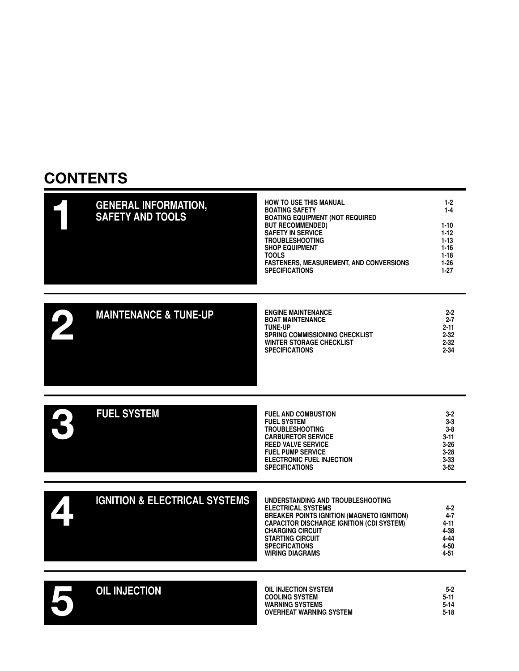#### **CONTENTS**

| <b>HOW TO USE THIS MANUAL</b><br><b>BOATING SAFETY</b> | 1-2<br>$1 - 4$                          |
|--------------------------------------------------------|-----------------------------------------|
| <b>BUT RECOMMENDED)</b>                                | 1-10                                    |
| <b>SAFETY IN SERVICE</b>                               | $1 - 12$                                |
| <b>TROUBLESHOOTING</b>                                 | $1 - 13$                                |
| <b>SHOP EQUIPMENT</b>                                  | $1 - 16$                                |
| TOOLS                                                  | $1 - 18$                                |
| <b>FASTENERS, MEASUREMENT, AND CONVERSIONS</b>         | 1-26                                    |
| <b>SPECIFICATIONS</b>                                  | 1-27                                    |
|                                                        | <b>BOATING EQUIPMENT (NOT REQUIRED)</b> |

|  |  | <b>MAINTENANCE &amp; TUNE-UP</b> | <b>ENGINE MAINTENANCE</b><br><b>BOAT MAINTENANCE</b><br><b>TUNE-UP</b><br><b>SPRING COMMISSIONING CHECKLIST</b><br><b>WINTER STORAGE CHECKLIST</b><br><b>SPECIFICATIONS</b> | $2 - 2$<br>$2 - 7$<br>$2 - 11$<br>$2 - 32$<br>$2 - 32$<br>2-34 |
|--|--|----------------------------------|-----------------------------------------------------------------------------------------------------------------------------------------------------------------------------|----------------------------------------------------------------|
|--|--|----------------------------------|-----------------------------------------------------------------------------------------------------------------------------------------------------------------------------|----------------------------------------------------------------|

| <b>FUEL SYSTEM</b> | <b>FUEL AND COMBUSTION</b><br><b>FUEL SYSTEM</b><br><b>TROUBLESHOOTING</b><br><b>CARBURETOR SERVICE</b><br><b>REED VALVE SERVICE</b><br><b>FUEL PUMP SERVICE</b><br><b>ELECTRONIC FUEL INJECTION</b><br><b>SPECIFICATIONS</b> | $3-2$<br>$3-3$<br>$3-8$<br>$3 - 11$<br>$3 - 26$<br>$3 - 28$<br>$3 - 33$<br>$3 - 52$ |
|--------------------|-------------------------------------------------------------------------------------------------------------------------------------------------------------------------------------------------------------------------------|-------------------------------------------------------------------------------------|
|                    |                                                                                                                                                                                                                               |                                                                                     |
|                    |                                                                                                                                                                                                                               |                                                                                     |

| <b>IGNITION &amp; ELECTRICAL SYSTEMS</b> | UNDERSTANDING AND TROUBLESHOOTING<br><b>ELECTRICAL SYSTEMS</b><br><b>BREAKER POINTS IGNITION (MAGNETO IGNITION)</b><br><b>CAPACITOR DISCHARGE IGNITION (CDI SYSTEM)</b><br><b>CHARGING CIRCUIT</b><br><b>STARTING CIRCUIT</b><br><b>SPECIFICATIONS</b> | 4-2<br>4-7<br>$4 - 11$<br>4-38<br>4-44<br>4-50 |
|------------------------------------------|--------------------------------------------------------------------------------------------------------------------------------------------------------------------------------------------------------------------------------------------------------|------------------------------------------------|
|                                          | <b>WIRING DIAGRAMS</b>                                                                                                                                                                                                                                 | 4-51                                           |

**4-60 OIL INJECTION SYSTEM 5-2 COOLING SYSTEM 5-11 WARNING SYSTEMS 5-14 OVERHEAT WARNING SYSTEM 5-18 5 OIL INJECTION**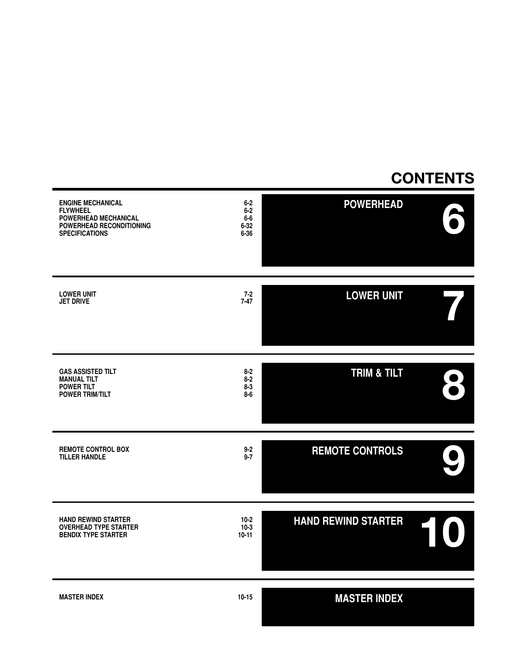#### **CONTENTS**

| <b>ENGINE MECHANICAL</b><br><b>FLYWHEEL</b><br>POWERHEAD MECHANICAL<br>POWERHEAD RECONDITIONING<br><b>SPECIFICATIONS</b> | $6 - 2$<br>$6 - 2$<br>$6-6$<br>$6 - 32$<br>$6 - 36$ | <b>POWERHEAD</b>           |  |
|--------------------------------------------------------------------------------------------------------------------------|-----------------------------------------------------|----------------------------|--|
| <b>LOWER UNIT</b><br><b>JET DRIVE</b>                                                                                    | $7 - 2$<br>$7 - 47$                                 | <b>LOWER UNIT</b>          |  |
| <b>GAS ASSISTED TILT</b><br><b>MANUAL TILT</b><br><b>POWER TILT</b><br><b>POWER TRIM/TILT</b>                            | $8 - 2$<br>$8 - 2$<br>$8 - 3$<br>$8-6$              | <b>TRIM &amp; TILT</b>     |  |
| <b>REMOTE CONTROL BOX</b><br><b>TILLER HANDLE</b>                                                                        | $9 - 2$<br>$9 - 7$                                  | <b>REMOTE CONTROLS</b>     |  |
| <b>HAND REWIND STARTER</b><br><b>OVERHEAD TYPE STARTER</b><br><b>BENDIX TYPE STARTER</b>                                 | $10-2$<br>$10-3$<br>$10-11$                         | <b>HAND REWIND STARTER</b> |  |
| <b>MASTER INDEX</b>                                                                                                      | $10 - 15$                                           | <b>MASTER INDEX</b>        |  |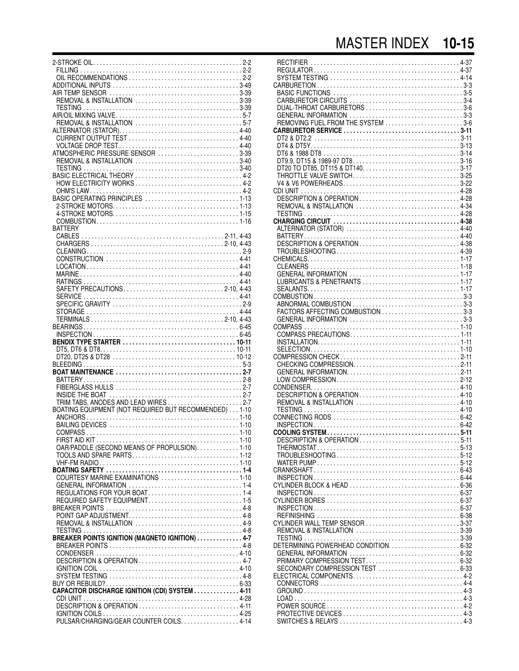#### MASTER INDEX **10-15**

| REMOVAL & INSTALLATION 3-39                           |
|-------------------------------------------------------|
|                                                       |
|                                                       |
|                                                       |
|                                                       |
|                                                       |
| ATMOSPHERIC PRESSURE SENSOR 3-39                      |
|                                                       |
|                                                       |
|                                                       |
| HOW ELECTRICITY WORKS  4-2                            |
|                                                       |
|                                                       |
|                                                       |
|                                                       |
| <b>BATTERY</b>                                        |
|                                                       |
|                                                       |
|                                                       |
|                                                       |
|                                                       |
|                                                       |
| SAFETY PRECAUTIONS2-10, 4-43                          |
|                                                       |
|                                                       |
|                                                       |
|                                                       |
|                                                       |
|                                                       |
|                                                       |
|                                                       |
|                                                       |
|                                                       |
|                                                       |
|                                                       |
|                                                       |
| BOATING EQUIPMENT (NOT REQUIRED BUT RECOMMENDED) 1-10 |
|                                                       |
|                                                       |
|                                                       |
| OAR/PADDLE (SECOND MEANS OF PROPULSION)1-10           |
| TOOLS AND SPARE PARTS1-12                             |
|                                                       |
|                                                       |
| COURTESY MARINE EXAMINATIONS 1-10                     |
|                                                       |
|                                                       |
| REQUIRED SAFETY EQUIPMENT1-5                          |
|                                                       |
|                                                       |
|                                                       |
| BREAKER POINTS IGNITION (MAGNETO IGNITION)  4-7       |
|                                                       |
|                                                       |
|                                                       |
|                                                       |
|                                                       |
| CAPACITOR DISCHARGE IGNITION (CDI) SYSTEM 4-11        |
|                                                       |
| DESCRIPTION & OPERATION 4-11                          |
|                                                       |
|                                                       |

| $.2 - 2$             |                                                              |
|----------------------|--------------------------------------------------------------|
| $.2 - 2$<br>$.2 - 2$ |                                                              |
| $3 - 49$             |                                                              |
| $3 - 39$             |                                                              |
| $3 - 39$<br>$3 - 39$ | DUAL-THROAT CARBURETORS 3-6                                  |
| $.5 - 7$             |                                                              |
| $.5 - 7$<br>$4 - 40$ | REMOVING FUEL FROM THE SYSTEM 3-6                            |
| $4 - 40$             |                                                              |
| $4 - 40$             |                                                              |
| $3 - 39$<br>$3 - 40$ |                                                              |
| $3 - 40$             | DT20 TO DT85, DT115 & DT1403-17                              |
| $.4-2$               |                                                              |
| $.4-2$<br>$.4-2$     | V4 & V6 POWERHEADS3-22                                       |
| $1 - 13$             | DESCRIPTION & OPERATION 4-28                                 |
| $1 - 13$             | REMOVAL & INSTALLATION  4-34                                 |
| $1 - 15$<br>$1 - 16$ |                                                              |
|                      |                                                              |
| $4 - 43$             |                                                              |
| $4 - 43$<br>$.2 - 9$ |                                                              |
| $4 - 41$             |                                                              |
| $4 - 41$             |                                                              |
| $4 - 40$<br>$4 - 41$ | LUBRICANTS & PENETRANTS 1-17                                 |
| $4 - 43$             |                                                              |
| $4 - 41$             |                                                              |
| $.2 - 9$<br>$4 - 44$ | FACTORS AFFECTING COMBUSTION 3-3                             |
| $4 - 43$             |                                                              |
| $6 - 45$             |                                                              |
| $6 - 45$<br>10-11    |                                                              |
| 10-11                |                                                              |
| 10-12                |                                                              |
| $.5-3$<br>$.2 - 7$   | CHECKING COMPRESSION2-11                                     |
| $.2 - 8$             |                                                              |
| $.2 - 7$             |                                                              |
| $.2 - 7$<br>$.2 - 7$ | DESCRIPTION & OPERATION 4-10<br>REMOVAL & INSTALLATION  4-10 |
| $1 - 10$             |                                                              |
| $1 - 10$             |                                                              |
| $1 - 10$<br>$1 - 10$ |                                                              |
| $1 - 10$             |                                                              |
| $1 - 10$             |                                                              |
| $1 - 12$<br>$1 - 10$ |                                                              |
| $.1 - 4$             |                                                              |
| $1 - 10$             |                                                              |
| $.1 - 4$<br>$.1 - 4$ |                                                              |
| $.1 - 5$             |                                                              |
| $.4-8$               |                                                              |
| $.4-8$<br>$.4-9$     | CYLINDER WALL TEMP SENSOR 3-37                               |
| $.4-8$               |                                                              |
| $.4 - 7$             |                                                              |
| $.4-8$<br>$4 - 10$   |                                                              |
| $.4 - 7$             |                                                              |
| $4 - 10$             |                                                              |
| $.4 - 8$<br>$6 - 33$ |                                                              |
| $-4 - 11$            |                                                              |
| $4 - 28$             |                                                              |
| $4 - 11$<br>$4 - 25$ |                                                              |
| $4 - 14$             |                                                              |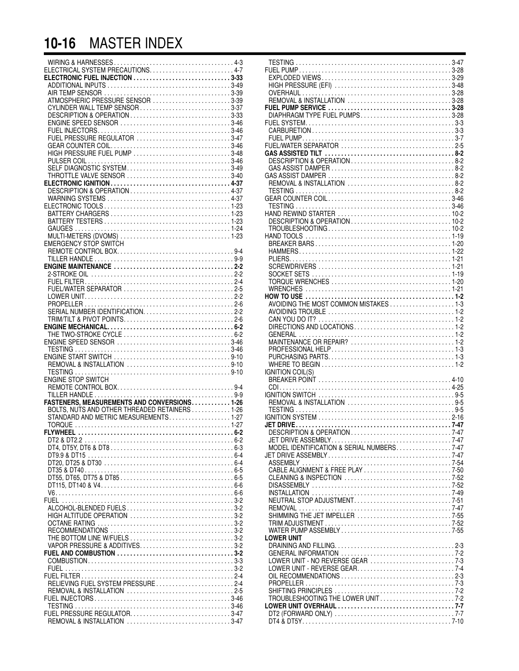### **10-16** MASTER INDEX

| ATMOSPHERIC PRESSURE SENSOR 3-39               |  |
|------------------------------------------------|--|
| CYLINDER WALL TEMP SENSOR 3-37                 |  |
| DESCRIPTION & OPERATION3-33                    |  |
|                                                |  |
|                                                |  |
| FUEL PRESSURE REGULATOR 3-47                   |  |
|                                                |  |
| HIGH PRESSURE FUEL PUMP 3-48                   |  |
|                                                |  |
| SELF DIAGNOSTIC SYSTEM3-49                     |  |
| THROTTLE VALVE SENSOR 3-40                     |  |
|                                                |  |
| DESCRIPTION & OPERATION 4-37                   |  |
|                                                |  |
|                                                |  |
|                                                |  |
|                                                |  |
|                                                |  |
|                                                |  |
| EMERGENCY STOP SWITCH                          |  |
|                                                |  |
|                                                |  |
|                                                |  |
|                                                |  |
|                                                |  |
|                                                |  |
|                                                |  |
|                                                |  |
|                                                |  |
|                                                |  |
|                                                |  |
|                                                |  |
|                                                |  |
|                                                |  |
|                                                |  |
|                                                |  |
|                                                |  |
|                                                |  |
| ENGINE STOP SWITCH                             |  |
|                                                |  |
|                                                |  |
|                                                |  |
| BOLTS, NUTS AND OTHER THREADED RETAINERS  1-26 |  |
| STANDARD AND METRIC MEASUREMENTS1-27           |  |
|                                                |  |
|                                                |  |
|                                                |  |
|                                                |  |
|                                                |  |
|                                                |  |
|                                                |  |
|                                                |  |
|                                                |  |
|                                                |  |
|                                                |  |
|                                                |  |
| HIGH ALTITUDE OPERATION 3-2                    |  |
|                                                |  |
|                                                |  |
|                                                |  |
| VAPOR PRESSURE & ADDITIVES3-2                  |  |
|                                                |  |
|                                                |  |
|                                                |  |
|                                                |  |
| RELIEVING FUEL SYSTEM PRESSURE2-4              |  |
|                                                |  |
|                                                |  |
|                                                |  |
|                                                |  |

| REMOVAL & INSTALLATION 3-28                 |  |
|---------------------------------------------|--|
|                                             |  |
| DIAPHRAGM TYPE FUEL PUMPS3-28               |  |
|                                             |  |
|                                             |  |
|                                             |  |
|                                             |  |
|                                             |  |
|                                             |  |
|                                             |  |
|                                             |  |
|                                             |  |
|                                             |  |
|                                             |  |
|                                             |  |
|                                             |  |
|                                             |  |
|                                             |  |
|                                             |  |
|                                             |  |
|                                             |  |
|                                             |  |
|                                             |  |
|                                             |  |
|                                             |  |
|                                             |  |
|                                             |  |
|                                             |  |
|                                             |  |
|                                             |  |
|                                             |  |
|                                             |  |
|                                             |  |
| <b>IGNITION COIL(S)</b>                     |  |
|                                             |  |
|                                             |  |
|                                             |  |
| TESTING                                     |  |
|                                             |  |
|                                             |  |
|                                             |  |
|                                             |  |
|                                             |  |
| MODEL IDENTIFICATION & SERIAL NUMBERS. 7-47 |  |
|                                             |  |
|                                             |  |
|                                             |  |
|                                             |  |
|                                             |  |
| NEUTRAL STOP ADJUSTMENT7-51                 |  |
|                                             |  |
|                                             |  |
|                                             |  |
| LOWER UNIT                                  |  |
|                                             |  |
|                                             |  |
|                                             |  |
|                                             |  |
|                                             |  |
|                                             |  |
|                                             |  |
| TROUBLESHOOTING THE LOWER UNIT7-2           |  |
|                                             |  |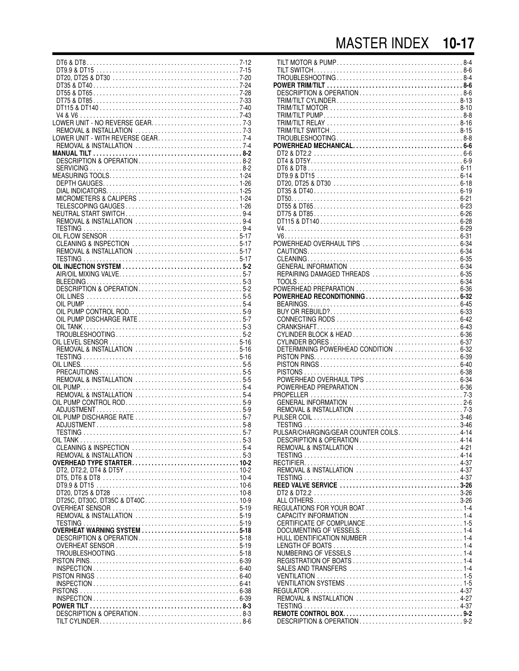## MASTER INDEX 10-17

| MICROMETERS & CALIPERS  1-24 |  |
|------------------------------|--|
|                              |  |
|                              |  |
|                              |  |
|                              |  |
| CLEANING & INSPECTION 5-17   |  |
|                              |  |
|                              |  |
|                              |  |
|                              |  |
| DESCRIPTION & OPERATION5-2   |  |
| OIL LINES                    |  |
| OIL PUMP                     |  |
| OIL PUMP CONTROL ROD5-9      |  |
| OIL PUMP DISCHARGE RATE 5-7  |  |
|                              |  |
|                              |  |
| REMOVAL & INSTALLATION 5-16  |  |
|                              |  |
|                              |  |
|                              |  |
|                              |  |
|                              |  |
|                              |  |
|                              |  |
|                              |  |
|                              |  |
|                              |  |
|                              |  |
|                              |  |
|                              |  |
|                              |  |
|                              |  |
|                              |  |
|                              |  |
|                              |  |
|                              |  |
| OVERHEAT WARNING SYSTEM 5-18 |  |
| DESCRIPTION & OPERATION5-18  |  |
|                              |  |
|                              |  |
|                              |  |
|                              |  |
|                              |  |
|                              |  |
|                              |  |
|                              |  |
|                              |  |
|                              |  |

| DESCRIPTION & OPERATION8-6                                             |  |
|------------------------------------------------------------------------|--|
|                                                                        |  |
|                                                                        |  |
|                                                                        |  |
|                                                                        |  |
|                                                                        |  |
|                                                                        |  |
|                                                                        |  |
|                                                                        |  |
|                                                                        |  |
|                                                                        |  |
|                                                                        |  |
|                                                                        |  |
|                                                                        |  |
|                                                                        |  |
|                                                                        |  |
| POWERHEAD OVERHAUL TIPS  6-34                                          |  |
|                                                                        |  |
|                                                                        |  |
| REPAIRING DAMAGED THREADS  6-35                                        |  |
|                                                                        |  |
| POWERHEAD RECONDITIONING 6-32                                          |  |
|                                                                        |  |
|                                                                        |  |
|                                                                        |  |
|                                                                        |  |
|                                                                        |  |
| DETERMINING POWERHEAD CONDITION  6-32                                  |  |
|                                                                        |  |
|                                                                        |  |
|                                                                        |  |
|                                                                        |  |
| GENERAL INFORMATION 2-6                                                |  |
|                                                                        |  |
|                                                                        |  |
|                                                                        |  |
| PULSAR/CHARGING/GEAR COUNTER COILS4-14<br>DESCRIPTION & OPERATION 4-14 |  |
|                                                                        |  |
|                                                                        |  |
|                                                                        |  |
| REMOVAL & INSTALLATION 4-37                                            |  |
|                                                                        |  |
|                                                                        |  |
|                                                                        |  |
|                                                                        |  |
|                                                                        |  |
|                                                                        |  |
|                                                                        |  |
|                                                                        |  |
|                                                                        |  |
|                                                                        |  |
|                                                                        |  |
|                                                                        |  |
| REMOVAL & INSTALLATION 4-27                                            |  |
|                                                                        |  |
|                                                                        |  |
| DESCRIPTION & OPERATION9-2                                             |  |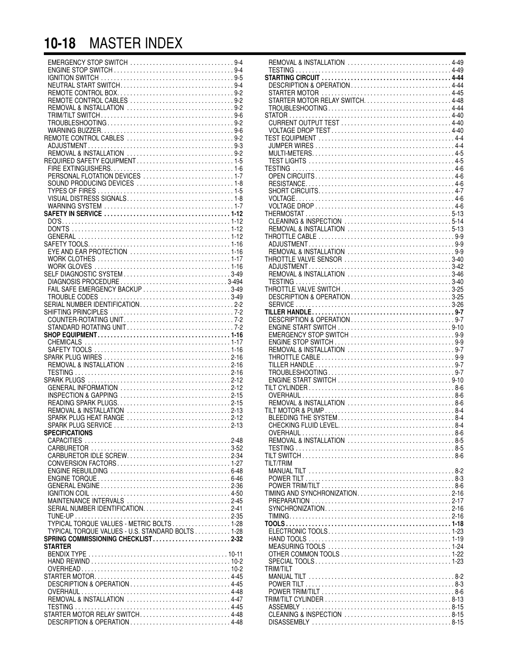## **10-18** MASTER INDEX

| FAIL SAFE EMERGENCY BACKUP 3-49                  |  |
|--------------------------------------------------|--|
|                                                  |  |
|                                                  |  |
|                                                  |  |
|                                                  |  |
|                                                  |  |
|                                                  |  |
|                                                  |  |
|                                                  |  |
| REMOVAL & INSTALLATION 2-16                      |  |
|                                                  |  |
|                                                  |  |
|                                                  |  |
| INSPECTION & GAPPING 2-15                        |  |
| READING SPARK PLUGS2-15                          |  |
| REMOVAL & INSTALLATION 2-13                      |  |
| SPARK PLUG HEAT RANGE 2-12                       |  |
| SPECIFICATIONS                                   |  |
|                                                  |  |
|                                                  |  |
|                                                  |  |
|                                                  |  |
|                                                  |  |
|                                                  |  |
|                                                  |  |
|                                                  |  |
| MAINTENANCE INTERVALS 2-45                       |  |
|                                                  |  |
|                                                  |  |
| TYPICAL TORQUE VALUES - U.S. STANDARD BOLTS 1-28 |  |
| SPRING COMMISSIONING CHECKLIST2-32               |  |
| <b>STARTER</b>                                   |  |
|                                                  |  |
|                                                  |  |
|                                                  |  |
|                                                  |  |
| DESCRIPTION & OPERATION  4-45                    |  |
|                                                  |  |
| REMOVAL & INSTALLATION 4-47                      |  |
|                                                  |  |
| STARTER MOTOR RELAY SWITCH4-48                   |  |
| DESCRIPTION & OPERATION4-48                      |  |

| 4               | REMOVAL & INSTALLATION 4-49  |
|-----------------|------------------------------|
| 4               |                              |
|                 |                              |
| 5               |                              |
| 4               | DESCRIPTION & OPERATION 4-44 |
| $\overline{c}$  |                              |
| $\overline{c}$  |                              |
| $\overline{c}$  |                              |
| 6               | STATOR.                      |
| $\overline{c}$  |                              |
|                 |                              |
| 6               |                              |
| $\overline{c}$  |                              |
| 3               |                              |
| $\overline{c}$  |                              |
| 5               |                              |
| 6               |                              |
| 7               |                              |
|                 |                              |
| 8               |                              |
| 5               |                              |
| 8               |                              |
| 7               |                              |
| 2               |                              |
| $\overline{c}$  |                              |
| $\overline{c}$  |                              |
| $\overline{c}$  |                              |
|                 |                              |
| 6               |                              |
| 6               |                              |
| 7               |                              |
| 6               |                              |
| 9               | REMOVAL & INSTALLATION 3-46  |
| 14              |                              |
| 9               | THROTTLE VALVE SWITCH3-25    |
| 9               | DESCRIPTION & OPERATION3-25  |
|                 |                              |
| $\overline{c}$  |                              |
| 2               |                              |
| $\overline{c}$  |                              |
| 2               |                              |
| 6               |                              |
| 7               |                              |
| 6               |                              |
|                 |                              |
| 6               |                              |
| 6               |                              |
| 6               |                              |
| 2               |                              |
| $\overline{c}$  |                              |
| 5               |                              |
| 5               | REMOVAL & INSTALLATION 8-6   |
| 3               |                              |
| $\overline{c}$  | BLEEDING THE SYSTEM8-4       |
|                 |                              |
| 3               |                              |
|                 |                              |
| 8               |                              |
| $\overline{2}$  |                              |
| 4               |                              |
| 7               | <b>TILT/TRIM</b>             |
| 8               |                              |
| $6\overline{6}$ |                              |
|                 |                              |
| 6               |                              |
| i0              |                              |
| 5               |                              |
| $\overline{1}$  |                              |
| 5               |                              |
| 8               |                              |
| 8               |                              |
| $\overline{2}$  |                              |
|                 |                              |
|                 |                              |
| 1               |                              |
| $\overline{c}$  |                              |
| $\overline{c}$  | <b>TRIM/TILT</b>             |
| $\overline{5}$  |                              |
| 5               |                              |
| 8               |                              |
| $\overline{7}$  |                              |
| 5               |                              |
|                 |                              |
| 8               |                              |
| 8               |                              |